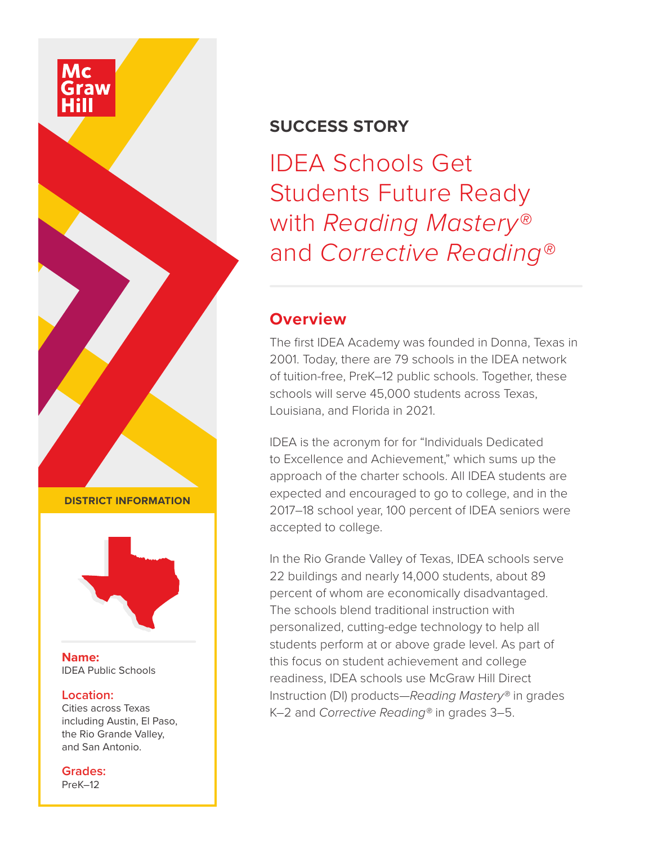#### **SUCCESS STORY**

IDEA Schools Get Students Future Ready with *Reading Mastery®* and *Corrective Reading®*

#### **Overview**

The first IDEA Academy was founded in Donna, Texas in 2001. Today, there are 79 schools in the IDEA network of tuition-free, PreK–12 public schools. Together, these schools will serve 45,000 students across Texas, Louisiana, and Florida in 2021.

IDEA is the acronym for for "Individuals Dedicated to Excellence and Achievement," which sums up the approach of the charter schools. All IDEA students are expected and encouraged to go to college, and in the 2017–18 school year, 100 percent of IDEA seniors were accepted to college.

In the Rio Grande Valley of Texas, IDEA schools serve 22 buildings and nearly 14,000 students, about 89 percent of whom are economically disadvantaged. The schools blend traditional instruction with personalized, cutting-edge technology to help all students perform at or above grade level. As part of this focus on student achievement and college readiness, IDEA schools use McGraw Hill Direct Instruction (DI) products—*Reading Mastery®* in grades K–2 and *Corrective Reading®* in grades 3–5.

**DISTRICT INFORMATION**



**Name:** IDEA Public Schools

#### **Location:**

Cities across Texas including Austin, El Paso, the Rio Grande Valley, and San Antonio.

**Grades:** PreK–12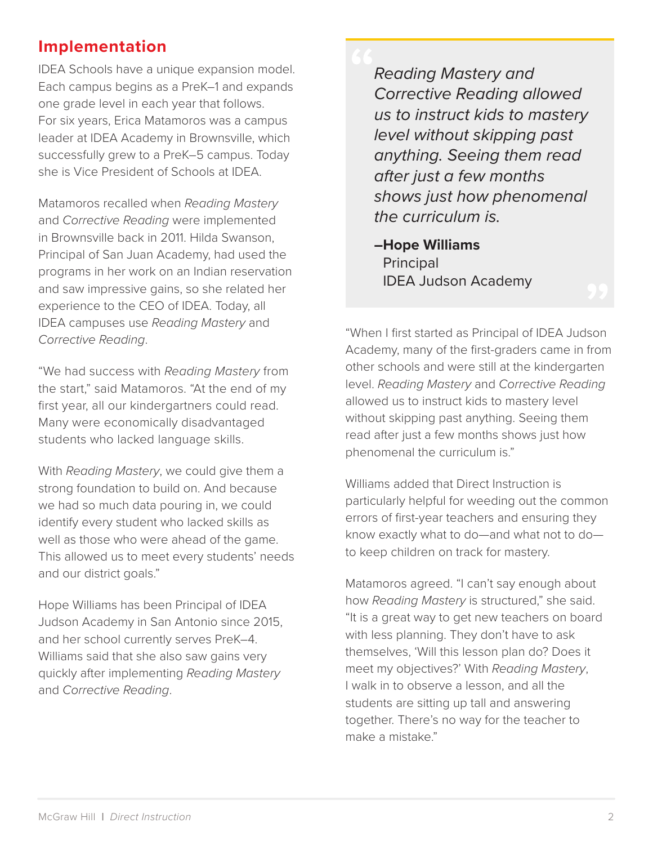# **Implementation**

IDEA Schools have a unique expansion model. Each campus begins as a PreK–1 and expands one grade level in each year that follows. For six years, Erica Matamoros was a campus leader at IDEA Academy in Brownsville, which successfully grew to a PreK–5 campus. Today she is Vice President of Schools at IDEA.

Matamoros recalled when *Reading Mastery* and *Corrective Reading* were implemented in Brownsville back in 2011. Hilda Swanson, Principal of San Juan Academy, had used the programs in her work on an Indian reservation and saw impressive gains, so she related her experience to the CEO of IDEA. Today, all IDEA campuses use *Reading Mastery* and *Corrective Reading*.

"We had success with *Reading Mastery* from the start," said Matamoros. "At the end of my first year, all our kindergartners could read. Many were economically disadvantaged students who lacked language skills.

With *Reading Mastery*, we could give them a strong foundation to build on. And because we had so much data pouring in, we could identify every student who lacked skills as well as those who were ahead of the game. This allowed us to meet every students' needs and our district goals."

Hope Williams has been Principal of IDEA Judson Academy in San Antonio since 2015, and her school currently serves PreK–4. Williams said that she also saw gains very quickly after implementing *Reading Mastery* and *Corrective Reading*.

*Reading Mastery and Corrective Reading allowed us to instruct kids to mastery level without skipping past anything. Seeing them read after just a few months shows just how phenomenal the curriculum is.*

**–Hope Williams Principal** IDEA Judson Academy

"When I first started as Principal of IDEA Judson Academy, many of the first-graders came in from other schools and were still at the kindergarten level. *Reading Mastery* and *Corrective Reading* allowed us to instruct kids to mastery level without skipping past anything. Seeing them read after just a few months shows just how phenomenal the curriculum is."

Williams added that Direct Instruction is particularly helpful for weeding out the common errors of first-year teachers and ensuring they know exactly what to do—and what not to do to keep children on track for mastery.

Matamoros agreed. "I can't say enough about how *Reading Mastery* is structured," she said. "It is a great way to get new teachers on board with less planning. They don't have to ask themselves, 'Will this lesson plan do? Does it meet my objectives?' With *Reading Mastery*, I walk in to observe a lesson, and all the students are sitting up tall and answering together. There's no way for the teacher to make a mistake."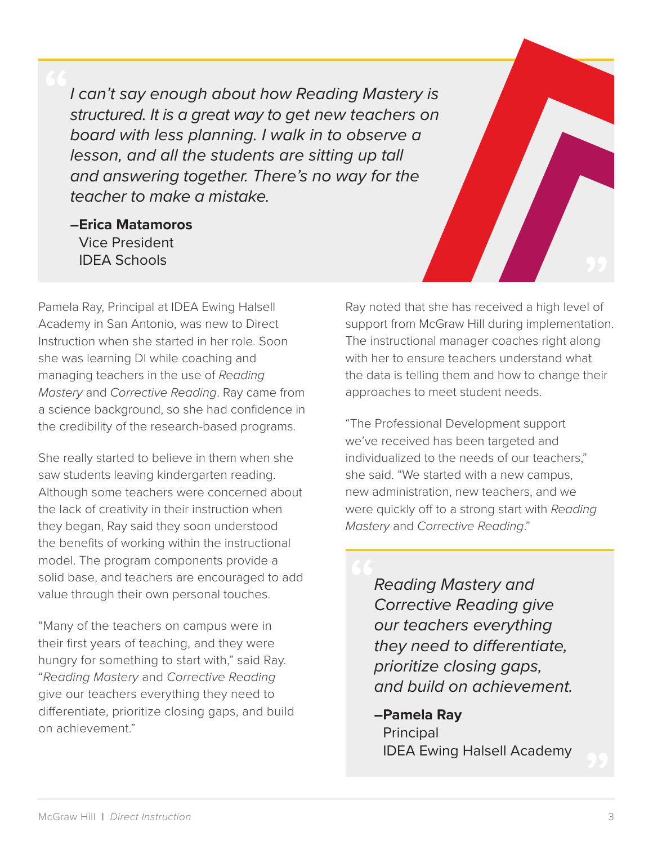*I can't say enough about how Reading Mastery is structured. It is a great way to get new teachers on board with less planning. I walk in to observe a lesson, and all the students are sitting up tall and answering together. There's no way for the teacher to make a mistake.*

**–Erica Matamoros** Vice President IDEA Schools

Pamela Ray, Principal at IDEA Ewing Halsell Academy in San Antonio, was new to Direct Instruction when she started in her role. Soon she was learning DI while coaching and managing teachers in the use of *Reading Mastery* and *Corrective Reading*. Ray came from a science background, so she had confidence in the credibility of the research-based programs.

She really started to believe in them when she saw students leaving kindergarten reading. Although some teachers were concerned about the lack of creativity in their instruction when they began, Ray said they soon understood the benefits of working within the instructional model. The program components provide a solid base, and teachers are encouraged to add value through their own personal touches.

"Many of the teachers on campus were in their first years of teaching, and they were hungry for something to start with," said Ray. "*Reading Mastery* and *Corrective Reading* give our teachers everything they need to differentiate, prioritize closing gaps, and build on achievement."

Ray noted that she has received a high level of support from McGraw Hill during implementation. The instructional manager coaches right along with her to ensure teachers understand what the data is telling them and how to change their approaches to meet student needs.

"The Professional Development support we've received has been targeted and individualized to the needs of our teachers," she said. "We started with a new campus, new administration, new teachers, and we were quickly off to a strong start with *Reading Mastery* and *Corrective Reading*."

> *Reading Mastery and Corrective Reading give our teachers everything they need to differentiate, prioritize closing gaps, and build on achievement.*

> **–Pamela Ray Principal** IDEA Ewing Halsell Academy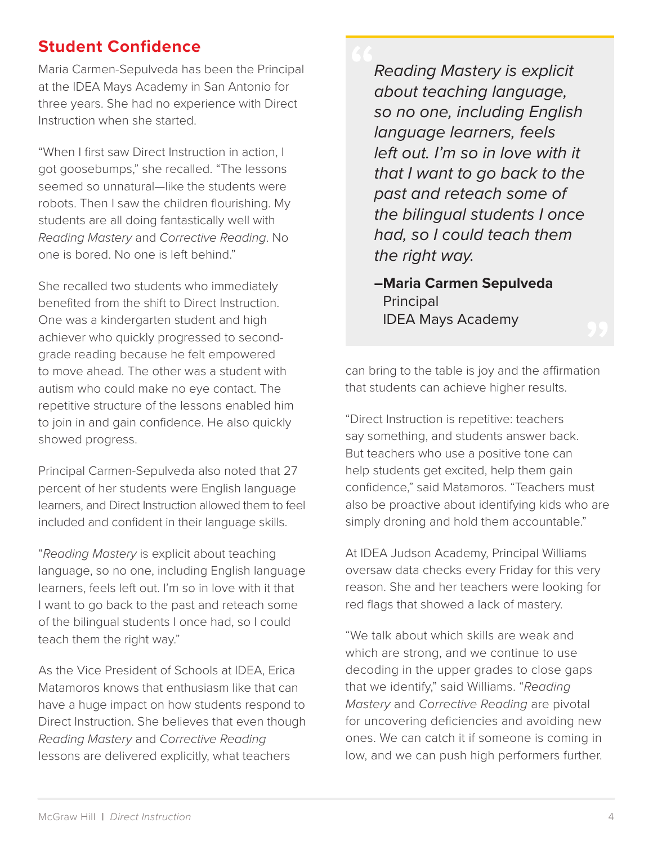#### **Student Confidence**

Maria Carmen-Sepulveda has been the Principal at the IDEA Mays Academy in San Antonio for three years. She had no experience with Direct Instruction when she started.

"When I first saw Direct Instruction in action, I got goosebumps," she recalled. "The lessons seemed so unnatural—like the students were robots. Then I saw the children flourishing. My students are all doing fantastically well with *Reading Mastery* and *Corrective Reading*. No one is bored. No one is left behind."

She recalled two students who immediately benefited from the shift to Direct Instruction. One was a kindergarten student and high achiever who quickly progressed to secondgrade reading because he felt empowered to move ahead. The other was a student with autism who could make no eye contact. The repetitive structure of the lessons enabled him to join in and gain confidence. He also quickly showed progress.

Principal Carmen-Sepulveda also noted that 27 percent of her students were English language learners, and Direct Instruction allowed them to feel included and confident in their language skills.

"*Reading Mastery* is explicit about teaching language, so no one, including English language learners, feels left out. I'm so in love with it that I want to go back to the past and reteach some of the bilingual students I once had, so I could teach them the right way."

As the Vice President of Schools at IDEA, Erica Matamoros knows that enthusiasm like that can have a huge impact on how students respond to Direct Instruction. She believes that even though *Reading Mastery* and *Corrective Reading* lessons are delivered explicitly, what teachers

*Reading Mastery is explicit about teaching language, so no one, including English language learners, feels left out. I'm so in love with it that I want to go back to the past and reteach some of the bilingual students I once had, so I could teach them the right way.*

**–Maria Carmen Sepulveda Principal** IDEA Mays Academy

can bring to the table is joy and the affirmation that students can achieve higher results.

"Direct Instruction is repetitive: teachers say something, and students answer back. But teachers who use a positive tone can help students get excited, help them gain confidence," said Matamoros. "Teachers must also be proactive about identifying kids who are simply droning and hold them accountable."

At IDEA Judson Academy, Principal Williams oversaw data checks every Friday for this very reason. She and her teachers were looking for red flags that showed a lack of mastery.

"We talk about which skills are weak and which are strong, and we continue to use decoding in the upper grades to close gaps that we identify," said Williams. "*Reading Mastery* and *Corrective Reading* are pivotal for uncovering deficiencies and avoiding new ones. We can catch it if someone is coming in low, and we can push high performers further.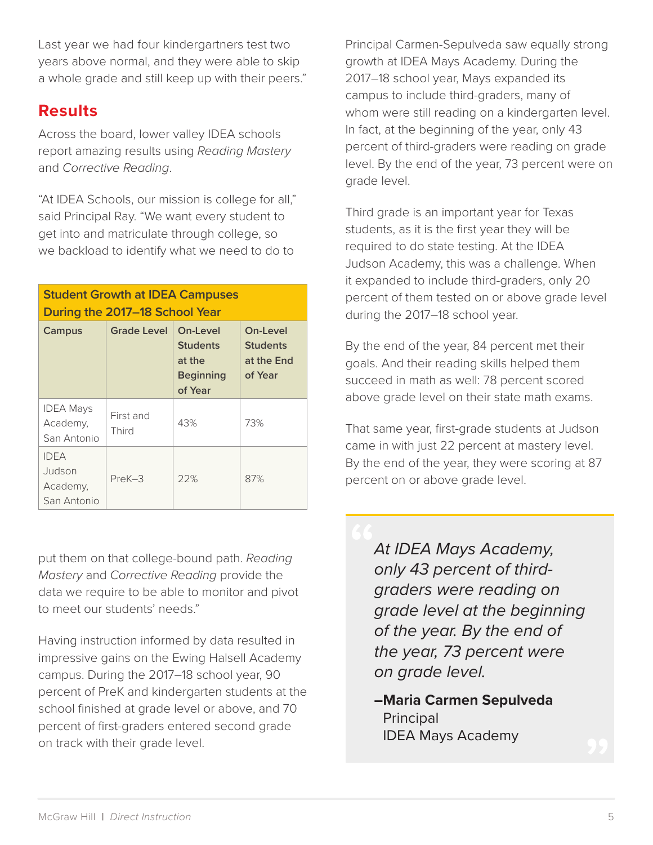Last year we had four kindergartners test two years above normal, and they were able to skip a whole grade and still keep up with their peers."

## **Results**

Across the board, lower valley IDEA schools report amazing results using *Reading Mastery* and *Corrective Reading*.

"At IDEA Schools, our mission is college for all," said Principal Ray. "We want every student to get into and matriculate through college, so we backload to identify what we need to do to

#### **Student Growth at IDEA Campuses During the 2017–18 School Year**

| Campus                                           | <b>Grade Level</b> | On-Level<br><b>Students</b><br>at the<br><b>Beginning</b><br>of Year | On-Level<br><b>Students</b><br>at the End<br>of Year |
|--------------------------------------------------|--------------------|----------------------------------------------------------------------|------------------------------------------------------|
| <b>IDEA Mays</b><br>Academy,<br>San Antonio      | First and<br>Third | 43%                                                                  | 73%                                                  |
| <b>IDEA</b><br>Judson<br>Academy,<br>San Antonio | PreK-3             | 22%                                                                  | 87%                                                  |

put them on that college-bound path. *Reading Mastery* and *Corrective Reading* provide the data we require to be able to monitor and pivot to meet our students' needs."

Having instruction informed by data resulted in impressive gains on the Ewing Halsell Academy campus. During the 2017–18 school year, 90 percent of PreK and kindergarten students at the school finished at grade level or above, and 70 percent of first-graders entered second grade on track with their grade level.

Principal Carmen-Sepulveda saw equally strong growth at IDEA Mays Academy. During the 2017–18 school year, Mays expanded its campus to include third-graders, many of whom were still reading on a kindergarten level. In fact, at the beginning of the year, only 43 percent of third-graders were reading on grade level. By the end of the year, 73 percent were on grade level.

Third grade is an important year for Texas students, as it is the first year they will be required to do state testing. At the IDEA Judson Academy, this was a challenge. When it expanded to include third-graders, only 20 percent of them tested on or above grade level during the 2017–18 school year.

By the end of the year, 84 percent met their goals. And their reading skills helped them succeed in math as well: 78 percent scored above grade level on their state math exams.

That same year, first-grade students at Judson came in with just 22 percent at mastery level. By the end of the year, they were scoring at 87 percent on or above grade level.

> *At IDEA Mays Academy, only 43 percent of thirdgraders were reading on grade level at the beginning of the year. By the end of the year, 73 percent were on grade level.*

**–Maria Carmen Sepulveda** Principal IDEA Mays Academy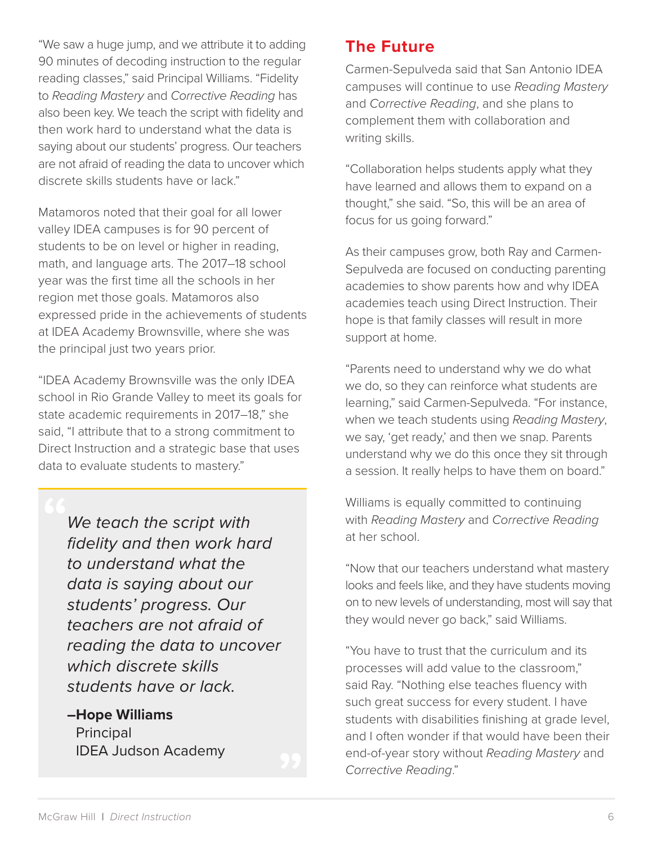"We saw a huge jump, and we attribute it to adding 90 minutes of decoding instruction to the regular reading classes," said Principal Williams. "Fidelity to *Reading Mastery* and *Corrective Reading* has also been key. We teach the script with fidelity and then work hard to understand what the data is saying about our students' progress. Our teachers are not afraid of reading the data to uncover which discrete skills students have or lack."

Matamoros noted that their goal for all lower valley IDEA campuses is for 90 percent of students to be on level or higher in reading, math, and language arts. The 2017–18 school year was the first time all the schools in her region met those goals. Matamoros also expressed pride in the achievements of students at IDEA Academy Brownsville, where she was the principal just two years prior.

"IDEA Academy Brownsville was the only IDEA school in Rio Grande Valley to meet its goals for state academic requirements in 2017–18," she said, "I attribute that to a strong commitment to Direct Instruction and a strategic base that uses data to evaluate students to mastery."

*We teach the script with fidelity and then work hard to understand what the data is saying about our students' progress. Our teachers are not afraid of reading the data to uncover which discrete skills students have or lack.*

**–Hope Williams Principal** IDEA Judson Academy

#### **The Future**

Carmen-Sepulveda said that San Antonio IDEA campuses will continue to use *Reading Mastery* and *Corrective Reading*, and she plans to complement them with collaboration and writing skills.

"Collaboration helps students apply what they have learned and allows them to expand on a thought," she said. "So, this will be an area of focus for us going forward."

As their campuses grow, both Ray and Carmen-Sepulveda are focused on conducting parenting academies to show parents how and why IDEA academies teach using Direct Instruction. Their hope is that family classes will result in more support at home.

"Parents need to understand why we do what we do, so they can reinforce what students are learning," said Carmen-Sepulveda. "For instance, when we teach students using *Reading Mastery*, we say, 'get ready,' and then we snap. Parents understand why we do this once they sit through a session. It really helps to have them on board."

Williams is equally committed to continuing with *Reading Mastery* and *Corrective Reading* at her school.

"Now that our teachers understand what mastery looks and feels like, and they have students moving on to new levels of understanding, most will say that they would never go back," said Williams.

"You have to trust that the curriculum and its processes will add value to the classroom," said Ray. "Nothing else teaches fluency with such great success for every student. I have students with disabilities finishing at grade level, and I often wonder if that would have been their end-of-year story without *Reading Mastery* and *Corrective Reading*."